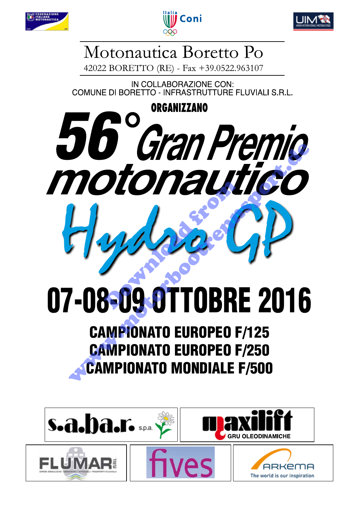





# Motonautica Boretto Po

42022 BORETTO (RE) - Fax +39.0522.963107

IN COLLABORAZIONE CON: COMUNE DI BORETTO - INFRASTRUTTURE FLUVIALI S.R.L.

# **ORGANIZZANO 56 Gran Premio** motonautico **Download** Hydro GP

# 07-08-09.0TTOBRE 2016

# CAMPIONATO EUROPEO F/125 CAMPIONATO EUROPEO F/250 CAMPIONATO MONDIALE F/500

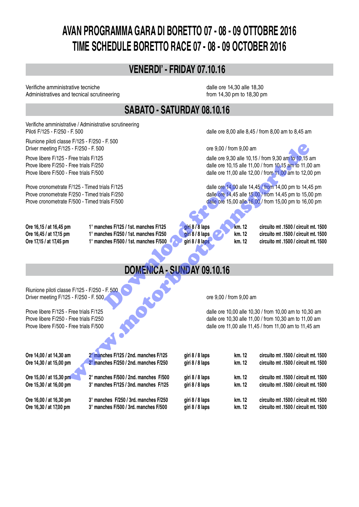# **AVAN PROGRAMMA GARA DI BORETTO 07 - 08 - 09 OTTOBRE 2016 TIME SCHEDULE BORETTO RACE 07 - 08 - 09 OCTOBER 2016**

## **VENERDI' - FRIDAY 07.10.16**

Verifiche amministrative tecniche dalle ore 14,30 alle 18,30 Administratives and tecnical scrutineering from 14,30 pm to 18,30 pm

## **SABATO - SATURDAY 08.10.16**

Verifiche amministrative / Administrative scrutineering Piloti F/125 - F/250 - F. 500 **by F/250** - F. 500 **cm** to 8.45 am to 8.45 am to 8.45 am to 8.45 am to 8.45 am to 8.45 am to 8.45 am to 8.45 am to 8.45 am to 8.45 am to 8.45 am to 8.45 am to 8.45 am to 8.45 am to 8.45 am to

Riunione piloti classe F/125 - F/250 - F. 500 Driver meeting F/125 - F/250 - F. 500 ore 9,00 / from 9,00 am

| Prove cronometrate F/125 - Timed trials F/125 |                                       | dalle ore 14,00 alle 14,45 / fi  |      |
|-----------------------------------------------|---------------------------------------|----------------------------------|------|
| Prove cronometrate F/250 - Timed trials F/250 | dalle ore 14,45 alle 15,00 / fi       |                                  |      |
| Prove cronometrate F/500 - Timed trials F/500 |                                       | dalle ore 15,00 alle 16,00 / fr  |      |
| Ore 16,15 / at 16,45 pm                       | 1° manches F/125 / 1st. manches F/125 | giri 8 / 8 laps<br><b>km.</b> 12 | circ |
| Ore 16,45 / at 17,15 pm                       | 1° manches F/250 / 1st. manches F/250 | giri 8 / 8 laps<br>km. 12        | circ |
| Ore 17,15 / at 17,45 pm                       | 1° manches F/500 / 1st. manches F/500 | giri 8/8 laps<br>km. 12          | circ |
|                                               |                                       |                                  |      |
|                                               |                                       | DOMENICA - SUNDAY 09.10.16       |      |
|                                               |                                       |                                  |      |
| Riunione piloti classe F/125 - F/250 - F. 500 |                                       |                                  |      |
| Driver meeting F/125 - F/250 - F. 500         |                                       | ore 9,00 / from 9,00 am          |      |
|                                               |                                       |                                  |      |

### **DOMENICA - SUNDAY 09.10.16**

| Driver meeting F/125 - F/250 - F. 500                                                                                                                                                                                |                                       |                 | ore 9,00 / from 9,00 am                                |                                                                                                                                                                            |  |
|----------------------------------------------------------------------------------------------------------------------------------------------------------------------------------------------------------------------|---------------------------------------|-----------------|--------------------------------------------------------|----------------------------------------------------------------------------------------------------------------------------------------------------------------------------|--|
| Prove libere F/125 - Free trials F/125                                                                                                                                                                               |                                       |                 | dalle ore 9,30 alle 10,15 / from 9,30 am to 10,15 am   |                                                                                                                                                                            |  |
| Prove libere F/250 - Free trials F/250                                                                                                                                                                               |                                       |                 | dalle ore 10,15 alle 11,00 / from 10,15 am to 11,00 am |                                                                                                                                                                            |  |
| Prove libere F/500 - Free trials F/500                                                                                                                                                                               |                                       |                 | dalle ore 11,00 alle 12,00 / from 11,00 am to 12,00 pm |                                                                                                                                                                            |  |
| Prove cronometrate F/125 - Timed trials F/125<br>Prove cronometrate F/250 - Timed trials F/250<br>Prove cronometrate F/500 - Timed trials F/500                                                                      |                                       |                 |                                                        | dalle ore 14,00 alle 14,45 / from 14,00 pm to 14,45 pm<br>dalle ore 14,45 alle 15,00 / from 14,45 pm to 15,00 pm<br>dalle ore 15,00 alle 16,00/ from 15,00 pm to 16,00 pm  |  |
| Ore 16,15 / at 16,45 pm                                                                                                                                                                                              | 1° manches F/125 / 1st. manches F/125 | giri 8 / 8 laps | km. 12                                                 | circuito mt .1500 / circuit mt. 1500                                                                                                                                       |  |
| Ore 16,45 / at 17,15 pm                                                                                                                                                                                              | 1° manches F/250 / 1st. manches F/250 | giri 8 / 8 laps | km. 12                                                 | circuito mt .1500 / circuit mt. 1500                                                                                                                                       |  |
| Ore 17,15 / at 17,45 pm                                                                                                                                                                                              | 1° manches F/500 / 1st. manches F/500 | giri 8/8 laps   | km. 12                                                 | circuito mt .1500 / circuit mt. 1500                                                                                                                                       |  |
|                                                                                                                                                                                                                      | DOMENICA - SUNDAY 09.10.16            |                 |                                                        |                                                                                                                                                                            |  |
| Riunione piloti classe F/125 - F/250 - F. 500<br>Driver meeting F/125 - F/250 - F. 500<br>Prove libere F/125 - Free trials F/125<br>Prove libere F/250 - Free trials F/250<br>Prove libere F/500 - Free trials F/500 |                                       |                 | ore 9,00 / from 9,00 am                                | dalle ore 10,00 alle 10,30 / from 10,00 am to 10,30 am<br>dalle ore 10,30 alle 11,00 / from 10,30 am to 11,00 am<br>dalle ore 11,00 alle 11,45 / from 11,00 am to 11,45 am |  |
| Ore 14,00 / at 14,30 am                                                                                                                                                                                              | 2° manches F/125 / 2nd. manches F/125 | giri 8 / 8 laps | km. 12                                                 | circuito mt .1500 / circuit mt. 1500                                                                                                                                       |  |
| Ore 14,30 / at 15,00 pm                                                                                                                                                                                              | 2° manches F/250 / 2nd. manches F/250 | giri 8 / 8 laps | km. 12                                                 | circuito mt .1500 / circuit mt. 1500                                                                                                                                       |  |
| Ore 15,00 / at 15,30 pm                                                                                                                                                                                              | 2° manches F/500 / 2nd. manches F/500 | giri 8 / 8 laps | km. 12                                                 | circuito mt .1500 / circuit mt. 1500                                                                                                                                       |  |
| Ore 15,30 / at 16,00 pm                                                                                                                                                                                              | 3° manches F/125 / 3nd. manches F/125 | giri 8 / 8 laps | km. 12                                                 | circuito mt .1500 / circuit mt. 1500                                                                                                                                       |  |
| Ore 16,00 / at 16,30 pm                                                                                                                                                                                              | 3° manches F/250 / 3rd. manches F/250 | giri 8 / 8 laps | km. 12                                                 | circuito mt .1500 / circuit mt. 1500                                                                                                                                       |  |
| Ore 16,30 / at 17,00 pm                                                                                                                                                                                              | 3° manches F/500 / 3rd. manches F/500 | giri 8 / 8 laps | km. 12                                                 | circuito mt .1500 / circuit mt. 1500                                                                                                                                       |  |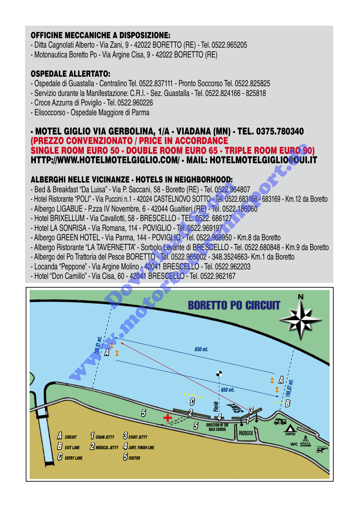#### OFFICINE MECCANICHE A DISPOSIZIONE:

- Ditta Cagnolati Alberto Via Zani, 9 42022 BORETTO (RE) Tel. 0522.965205
- Motonautica Boretto Po Via Argine Cisa, 9 42022 BORETTO (RE)

#### OSPEDALE ALLERTATO:

- Ospedale di Guastalla Centralino Tel. 0522.837111 Pronto Soccorso Tel. 0522.825825
- Servizio durante la Manifestazione: C.R.I. Sez. Guastalla Tel. 0522.824166 825818
- Croce Azzurra di Poviglio Tel. 0522.960226
- Elisoccorso Ospedale Maggiore di Parma

#### - MOTEL GIGLIO VIA GERBOLINA, 1/A - VIADANA (MN) - TEL. 0375.780340 (PREZZO CONVENZIONATO / PRICE IN ACCORDANCE SINGLE ROOM EURO 50 - DOUBLE ROOM EURO 65 - TRIPLE ROOM EURO 90) HTTP://WWW.HOTELMOTELGIGLIO.COM/ - MAIL: HOTELMOTELGIGLIO@OUI.IT

### ALBERGHI NELLE VICINANZE - HOTELS IN NEIGHBORHOOD:

- Bed & Breakfast "Da Luisa" Via P. Saccani, 58 Boretto (RE) Tel. 0522.964807
- Hotel Ristorante "POLI" Via Puccini n.1 42024 CASTELNOVO SOTTO Tel. 0522.683168 683169 Km.12 da Boretto
- Albergo LIGABUE P.zza IV Novembre, 6 42044 Gualtieri (RE) Tel. 0522.186060
- Hotel BRIXELLUM Via Cavallotti, 58 BRESCELLO TEL. 0522. 686127
- Hotel LA SONRISA Via Romana, 114 POVIGLIO Tel. 0522.969197
- Albergo GREEN HOTEL Via Parma, 144 POVIGLIO Tel. 0522.968950 Km.8 da Boretto
- Albergo Ristorante "LA TAVERNETTA" Sorbolo Levante di BRESCELLO Tel. 0522.680848 Km.9 da Boretto
- Albergo del Po Trattoria del Pesce BORETTO Tel. 0522.965002 348.3524663- Km.1 da Boretto
- Locanda "Peppone" Via Argine Molino 42041 BRESCELLO Tel. 0522.962203
- Hotel "Don Camillo" Via Cisa, 60 42041 BRESCELLO Tel. 0522.962167

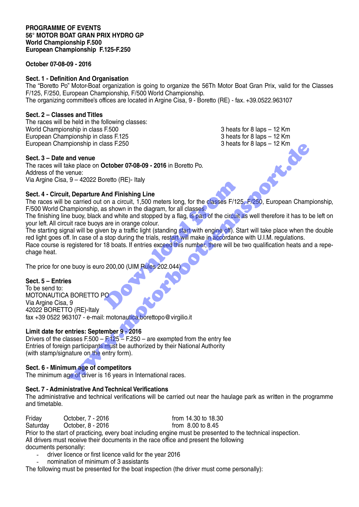#### **October 07-08-09 - 2016**

#### **Sect. 1 - Definition And Organisation**

The "Boretto Po" Motor-Boat organization is going to organize the 56Th Motor Boat Gran Prix, valid for the Classes F/125, F/250, European Championship, F/500 World Championship. The organizing committee's offices are located in Argine Cisa, 9 - Boretto (RE) - fax. +39.0522.963107

#### **Sect. 2 – Classes and Titles**

The races will be held in the following classes: World Championship in class F.500 3 heats for 8 laps – 12 Km<br>European Championship in class F.125 3 heats for 8 laps – 12 Km European Championship in class F.125 European Championship in class F.250 3 heats for 8 laps – 12 Km

#### **Sect. 3 – Date and venue**

The races will take place on **October 07-08-09 - 2016** in Boretto Po. Address of the venue: Via Argine Cisa, 9 – 42022 Boretto (RE)- Italy

#### **Sect. 4 - Circuit, Departure And Finishing Line**

The races will be carried out on a circuit, 1,500 meters long, for the classes F/125, F/250, European Championship, F/500 World Championship, as shown in the diagram, for all classes.

The finishing line buoy, black and white and stopped by a flag, is part of the circuit as well therefore it has to be left on your left. All circuit race buoys are in orange colour.

The starting signal will be given by a traffic light (standing start with engine off). Start will take place when the double red light goes off. In case of a stop during the trials, restart will make in accordance with U.I.M. regulations.

Race course is registered for 18 boats. If entries exceed this number, there will be two qualification heats and a repechage heat.

The price for one buoy is euro 200,00 (UIM Rules 202.044)

#### **Sect. 5 – Entries**

To be send to: MOTONAUTICA BORETTO PO Via Argine Cisa, 9 42022 BORETTO (RE)-Italy fax +39 0522 963107 - e-mail: motonautica.borettopo@virgilio.it And Finishing Line<br>
on a circuit, 1,500 meters long, for the classes F/12!<br>
s shown in the diagram, for all classes.<br>
and white and stopped by a flag, is part of the circuit<br>
are in orange colour.<br>
en by a traffic light (s plemation cases F.250<br>
We place on October 07-08-09 - 2016 in Boretto Po.<br>
We place on October 07-08-09 - 2016 in Boretto Po.<br>
Several cases F/125, P/250, European Champing Line<br>
e carried out on a circuit, 1,500 meters lo

#### **Limit date for entries: September 9 - 2016**

Drivers of the classes F.500 –  $F.125 - F.250$  – are exempted from the entry fee Entries of foreign participants must be authorized by their National Authority (with stamp/signature on the entry form).

#### **Sect. 6 - Minimum age of competitors**

The minimum age of driver is 16 years in International races.

#### **Sect. 7 - Administrative And Technical Verifications**

The administrative and technical verifications will be carried out near the haulage park as written in the programme and timetable.

Friday **October, 7 - 2016 from 14.30 to 18.30** Saturday October, 8 - 2016 from 8.00 to 8.45 Prior to the start of practicing, every boat including engine must be presented to the technical inspection. All drivers must receive their documents in the race office and present the following documents personally:

- driver licence or first licence valid for the year 2016
- nomination of minimum of 3 assistants

The following must be presented for the boat inspection (the driver must come personally):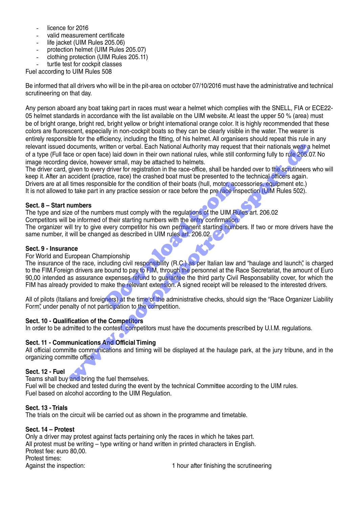- licence for 2016
- valid measurement certificate
- life jacket (UIM Rules 205.06)
- protection helmet (UIM Rules 205.07)
- clothing protection (UIM Rules 205.11)
- turtle test for cockpit classes

Fuel according to UIM Rules 508

Be informed that all drivers who will be in the pit-area on october 07/10/2016 must have the administrative and technical scrutineering on that day.

Any person aboard any boat taking part in races must wear a helmet which complies with the SNELL, FIA or ECE22- 05 helmet standards in accordance with the list available on the UIM website. At least the upper 50 % (area) must be of bright orange, bright red, bright yellow or bright intemational orange color. It is highly recommended that these colors are fluorescent, especially in non-cockpit boats so they can be clearly visible in the water. The wearer is entirely responsible for the efficiency, including the fitting, of his helmet. All organisers should repeat this rule in any relevant issued documents, written or verbal. Each National Authority may request that their nationals wear a helmet of a type (Full face or open face) laid down in their own national rules, while still conforming fully to rule 205.07. No image recording device, however small, may be attached to helmets.

The driver card, given to every driver for registration in the race-office, shall be handed over to the scrutineers who will keep it. After an accident (practice, race) the crashed boat must be presented to the technical officers again. Drivers are at all times responsible for the condition of their boats (hull, motor, accessories, equipment etc.) It is not allowed to take part in any practice session or race before the pre race inspection (UIM Rules 502).

#### **Sect. 8 – Start numbers**

The type and size of the numbers must comply with the regulations of the UIM Rules art. 206.02

Competitors will be informed of their starting numbers with the entry confirmation.

The organizer will try to give every competitor his own permanent starting numbers. If two or more drivers have the same number, it will be changed as described in UIM rules art. 206.02.

#### **Sect. 9 - Insurance**

#### For World and European Championship

The insurance of the race, including civil responsibility (R.C.) as per Italian law and "haulage and launch", is charged to the FIM. Foreign drivers are bound to pay to FIM, through the personnel at the Race Secretariat, the amount of Euro 90,00 intended as assurance expenses refund to guarantee the third party Civil Responsability cover, for which the FIM has already provided to make the relevant extension. A signed receipt will be released to the interested drivers. nable for the condition of their boats (hull, motor, accompany practice session or race before the pre-race inspection and present in the energy competitor his own permanent starting numbers with the energy confirmation ev documents, written or verbal. Each National Authority may request that their nationals wear a<br>ce or open face) laid down in their cown rational rules, while still conforming fully to the 205.0<br>dyer to every griven the reav

All of pilots (Italians and foreigners) at the time of the administrative checks, should sign the "Race Organizer Liability Form", under penalty of not participation to the competition.

#### **Sect. 10 - Qualification of the Competitors**

In order to be admitted to the contest, competitors must have the documents prescribed by U.I.M. regulations.

#### **Sect. 11 - Communications And Official Timing**

All official committe communications and timing will be displayed at the haulage park, at the jury tribune, and in the organizing committe office.

#### **Sect. 12 - Fuel**

Teams shall buy and bring the fuel themselves.

Fuel will be checked and tested during the event by the technical Committee according to the UIM rules. Fuel based on alcohol according to the UIM Regulation.

#### **Sect. 13 - Trials**

The trials on the circuit wili be carried out as shown in the programme and timetable.

#### **Sect. 14 – Protest**

Only a driver may protest against facts pertaining only the races in which he takes part. All protest must be writing – type writing or hand written in printed characters in English. Protest fee: euro 80,00. Protest times: Against the inspection: 1 hour after finishing the scrutineering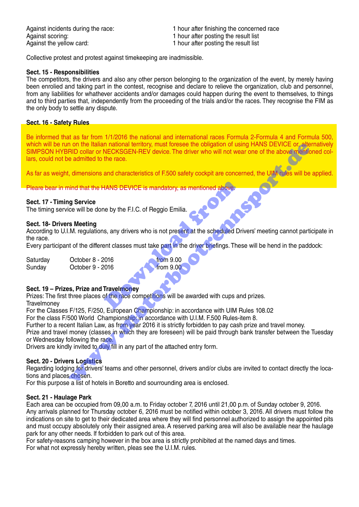Against scoring: 1 hour after posting the result list Against the yellow card: 1 hour after posting the result list

Against incidents during the race: 1 hour after finishing the concerned race

Collective protest and protest against timekeeping are inadmissible.

#### **Sect. 15 - Responsibilities**

The competitors, the drivers and also any other person belonging to the organization of the event, by merely having been enrolied and taking part in the contest, recognise and declare to relieve the organization, club and personnel, from any liabilities for whathever accidents and/or damages could happen during the event to themselves, to things and to third parties that, independently from the proceeding of the trials and/or the races. They recognise the FIM as the only body to settle any dispute.

#### **Sect. 16 - Safety Rules**

Be informed that as far from 1/1/2016 the national and international races Formula 2-Formula 4 and Formula 500, which will be run on the Italian national territory, must foresee the obligation of using HANS DEVICE or, alternatively SIMPSON HYBRID collar or NECKSGEN-REV device. The driver who will not wear one of the above mentioned collars, could not be admitted to the race. n on the Italian national territory, must toresee the obligation of using HANS DEVICE or, alternation and the race.<br>
Fill collar or NECKSGEN-REV device. The driver who will not wear one of the above menties<br>
admitted to th

As far as weight, dimensions and characteristics of F.500 safety cockpit are concerned, the UIM rules will be applied.

Pleare bear in mind that the HANS DEVICE is mandatory, as mentioned above.

#### **Sect. 17 - Timing Service**

The timing service will be done by the F.I.C. of Reggio Emilia.

#### **Sect. 18- Drivers Meeting**

According to U.I.M. regulations, any drivers who is not present at the scheduled Drivers' meeting cannot participate in the race. Travelmoney<br>
Travelmoney<br>
European Chemical State part in the driver briefings. The<br>
Double of the race competitions will be awarded with cups are<br>
European Chemicanship: in accordance with LIIM<br>
European Chemicanship: in

Every participant of the different classes must take part in the driver briefings. These will be hend in the paddock:

| Saturday | October 8 - 2016 |                  |
|----------|------------------|------------------|
| Sunday   | October 9 - 2016 | <b>from 9.00</b> |
|          |                  |                  |

#### **Sect. 19 – Prizes, Prize and Travelmoney**

Prizes: The first three places of the race competitions will be awarded with cups and prizes. **Travelmoney** 

For the Classes F/125, F/250, European Championship: in accordance with UIM Rules 108.02

For the class F/500 World Championship: in accordance with U.I.M. F.500 Rules-item 8.

Further to a recent Italian Law, as from year 2016 it is strictly forbidden to pay cash prize and travel money.

Prize and travel money (classes in which they are foreseen) will be paid through bank transfer between the Tuesday or Wednesday following the race.

Drivers are kindly invited to duly fill in any part of the attached entry form.

#### **Sect. 20 - Drivers Logistics**

Regarding lodging for drivers' teams and other personnel, drivers and/or clubs are invited to contact directly the locations and places chosen.

For this purpose a list of hotels in Boretto and sourrounding area is enclosed.

#### **Sect. 21 - Haulage Park**

Each area can be occupied from 09,00 a.m. to Friday october 7, 2016 until 21,00 p.m. of Sunday october 9, 2016. Any arrivals planned for Thursday october 6, 2016 must be notified within october 3, 2016. All drivers must follow the indications on site to get to their dedicated area where they will find personnel authorized to assign the appointed pits and must occupy absolutely only their assigned area. A reserved parking area will also be available near the haulage park for any other needs. lf forbidden to park out of this area.

For safety-reasons camping however in the box area is strictly prohibited at the named days and times. For what not expressly hereby written, pleas see the U.I.M. rules.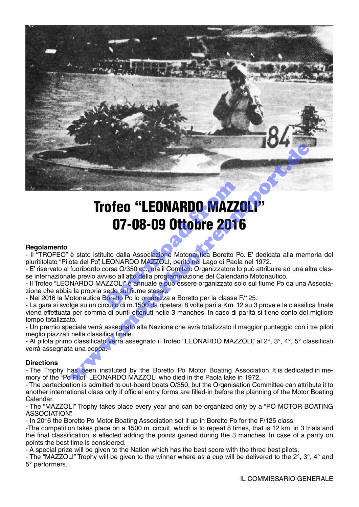

# Trofeo "LEONARDO MAZZOLI" 07-08-09 Ottobre 2016 **OFEO "LEONARDO MAZZ"**<br> **OFEO "LEONARDO MAZZ"**<br> **OFFOS-09 Ottobre 2010**<br>
LEONARDO MAZZOLI, perito nel Lago di Paola<br>
LEONARDO MAZZOLI, perito nel Lago di Paola<br>
corsa O/350 cc., ma il Comitato Organizzatore lo<br>
viso all'at

#### **Regolamento**

- Il "TROFEO" è stato istituito dalla Associazione Motonautica Boretto Po. E' dedicata alla memoria del plurititolato "Pilota del Po", LEONARDO MAZZOLI, perito nel Lago di Paola nel 1972.

- E' riservato al fuoribordo corsa O/350 cc., ma il Comitato Organizzatore lo può attribuire ad una altra classe internazionale previo avviso all'atto della programmazione del Calendario Motonautico.

- Il Trofeo "LEONARDO MAZZOLI" è annuale e può essere organizzato solo sul fiume Po da una Associazione che abbia la propria sede sul fiume stesso.

- Nel 2016 la Motonautica Boretto Po lo organizza a Boretto per la classe F/125.

- La gara si svolge su un circuito di m.1500 da ripetersi 8 volte pari a Km. 12 su 3 prove e la classifica finale viene effettuata per somma di punti ottenuti nelle 3 manches. In caso di parità si tiene conto del migliore tempo totalizzato.

- Un premio speciale verrà assegnato alla Nazione che avrà totalizzato il maggior punteggio con i tre piloti meglio piazzati nella classifica finale.

- Al pilota primo classificato verrà assegnato il Trofeo "LEONARDO MAZZOLI", al 2°, 3°, 4°, 5° classificati verrà assegnata una coppa.

#### **Directions**

- The Trophy has been instituted by the Boretto Po Motor Boating Association. It is dedicated in memory of the "Po Pilot" LEONARDO MAZZOLI who died in the Paola lake in 1972.

- The partecipation is admitted to out-board boats O/350, but the Organisation Committee can attribute it to another international class only if official entry forms are filled-in before the planning of the Motor Boating Calendar.

- The "MAZZOLI" Trophy takes place every year and can be organized only by a "PO MOTOR BOATING ASSOCIATION".

- In 2016 the Boretto Po Motor Boating Association set it up in Boretto Po for the F/125 class.

-The competition takes place on a 1500 m. circuit, which is to repeat 8 times, that is 12 km. in 3 trials and the final classification is effected adding the points gained during the 3 manches. In case of a parity on points the best time is considered.

- A special prize will be given to the Nation which has the best score with the three best pilots.

- The "MAZZOLI" Trophy will be given to the winner where as a cup will be delivered to the  $2^\circ$ ,  $3^\circ$ ,  $4^\circ$  and 5° performers.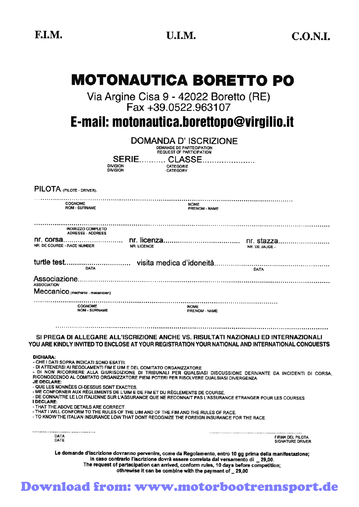# **MOTONAUTICA BORETTO PO**

Via Argine Cisa 9 - 42022 Boretto (RE)<br>Fax +39.0522.963107

E-mail: motonautica.borettopo@virgilio.it

|                                                                                                                                 | DOMANDA D' ISCRIZIONE<br>DEMANDE DE PARTECIPATION<br><b>REQUEST OF PARTICIPATION</b>                                                                                               |                                                                                                                                                                                                                                                                                      |                                                    |
|---------------------------------------------------------------------------------------------------------------------------------|------------------------------------------------------------------------------------------------------------------------------------------------------------------------------------|--------------------------------------------------------------------------------------------------------------------------------------------------------------------------------------------------------------------------------------------------------------------------------------|----------------------------------------------------|
|                                                                                                                                 | <b>SERIE</b><br><b>CLASSE</b><br><b>DIVISION</b><br><b>CATEGORIE</b><br><b>DIVISION</b><br><b>CATEGORY</b>                                                                         |                                                                                                                                                                                                                                                                                      |                                                    |
| PILOTA (PILOTE - DRIVER).                                                                                                       |                                                                                                                                                                                    |                                                                                                                                                                                                                                                                                      |                                                    |
| <b>COGNOME</b><br><b>NOM - SURNAME</b>                                                                                          |                                                                                                                                                                                    | <b>NOME</b><br>PRENOM - NAME                                                                                                                                                                                                                                                         |                                                    |
| <b>INDIRIZZO COMPLETO</b><br><b>ADRESSE - ADDRESS</b>                                                                           |                                                                                                                                                                                    |                                                                                                                                                                                                                                                                                      |                                                    |
| NR. DE COURSE - RACE NUMBER                                                                                                     | <b>NR. LICENCE</b>                                                                                                                                                                 | NR. DE JAUGE -                                                                                                                                                                                                                                                                       |                                                    |
| <b>DATA</b>                                                                                                                     |                                                                                                                                                                                    | <b>DATA</b>                                                                                                                                                                                                                                                                          |                                                    |
| <b>ASSOCIATION</b>                                                                                                              |                                                                                                                                                                                    |                                                                                                                                                                                                                                                                                      |                                                    |
| Meccanico (mechanic - mecanicien)                                                                                               |                                                                                                                                                                                    |                                                                                                                                                                                                                                                                                      |                                                    |
| <b>COGNOME</b><br><b>NOM - SURNAME</b>                                                                                          |                                                                                                                                                                                    | <b>NOME</b><br>PRENOM - NAME                                                                                                                                                                                                                                                         |                                                    |
|                                                                                                                                 |                                                                                                                                                                                    | SI PREGA DI ALLEGARE ALL'ISCRIZIONE ANCHE VS. RISULTATI NAZIONALI ED INTERNAZIONALI<br>YOU ARE KINDLY INVITED TO ENCLOSE AT YOUR REGISTRATION YOUR NATIONAL AND INTERNATIONAL CONQUESTS                                                                                              |                                                    |
| <b>DICHIARA:</b><br>- CHE I DATI SOPRA INDICATI SONO ESATTI.<br><b>JE DECLARE:</b><br>- QUE LES NONNEES CI-DESSUS SONT EXACTES. | - DI ATTENERSI AI REGOLAMENTI FIM E UIM E DEL COMITATO ORGANIZZATORE<br>RICONOSCENDO AL COMITATO ORGANIZZATORE PIENI POTERI PER RISOLVERE QUALSIASI DIVERGENZA.                    | - DI NON RICORRERE ALLA GIURISDIZIONE DI TRIBUNALI PER QUALSIASI DISCUSSIONE DERIVANTE DA INCIDENTI DI CORSA,                                                                                                                                                                        |                                                    |
| I DECLARE:                                                                                                                      | - ME CONFORNER AUX RÈGLEMENTS DE L'UIM E DE FIM ET DU RÈGLEMENTS DE COURSE.                                                                                                        | - DE CONNAITRE LE LOI ITALIENNE SUR L'ASSURANCE QUE NE RECONNAIT PAS L'ASSURANCE ETRANGER POUR LES COURSES                                                                                                                                                                           |                                                    |
| - THAT THE ABOVE DETAILS ARE CORRECT.                                                                                           | - THAT I WILL CONFORM TO THE RULES OF THE UIM AND OF THE FIM AND THE RULES OF RACE.<br>- TO KNOW THE ITALIAN INSURANCE LOW THAT DONT RECOGNIZE THE FOREIGN INSURANCE FOR THE RACE. |                                                                                                                                                                                                                                                                                      |                                                    |
| ,,,,,,,,,,,,,,,,,,,,,,,,,,,,,,,,,,,<br>DATA<br>DATE                                                                             |                                                                                                                                                                                    |                                                                                                                                                                                                                                                                                      | <b>FIRMA DEL PILOTA</b><br><b>SIGNATURE DRIVER</b> |
|                                                                                                                                 | othrewise it can be combine with the payment of _29,00                                                                                                                             | Le domande d'iscrizione dovranno pervenire, come da Regolamento, entro 10 gg prima della manifestazione;<br>in caso contrario l'iscrizione dovrà essere correlata dal versamento di _ 29,00.<br>The request of partecipation can arrived, conform rules, 10 days before competition; |                                                    |

## Download from: www.motorbootrennsport.de